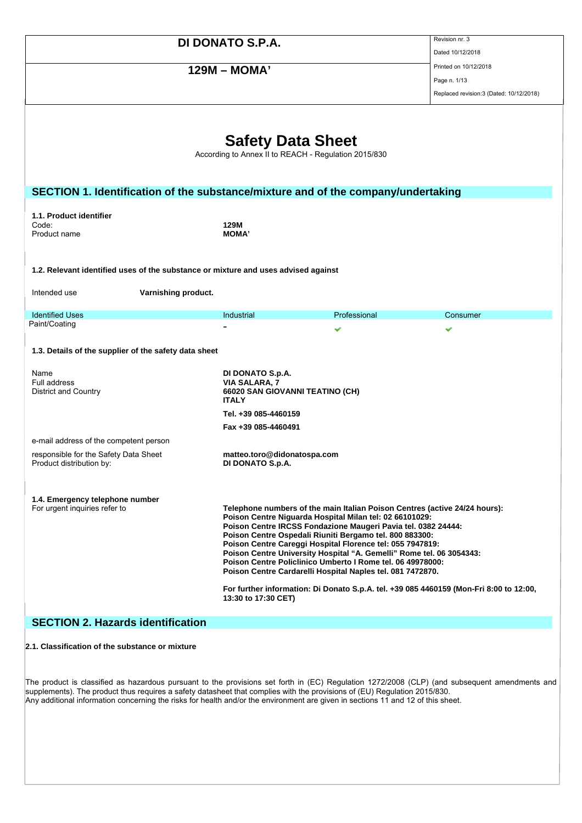# **129M – MOMA'** Printed on 10/12/2018

Dated 10/12/2018

Page n. 1/13 Replaced revision:3 (Dated: 10/12/2018)

|                                                                                    | <b>Safety Data Sheet</b>                                                                    |                                                                                                                                                                                                                                                                                                                                                                                                                                                                                                                                                                                                                              |          |
|------------------------------------------------------------------------------------|---------------------------------------------------------------------------------------------|------------------------------------------------------------------------------------------------------------------------------------------------------------------------------------------------------------------------------------------------------------------------------------------------------------------------------------------------------------------------------------------------------------------------------------------------------------------------------------------------------------------------------------------------------------------------------------------------------------------------------|----------|
|                                                                                    | According to Annex II to REACH - Regulation 2015/830                                        |                                                                                                                                                                                                                                                                                                                                                                                                                                                                                                                                                                                                                              |          |
|                                                                                    |                                                                                             |                                                                                                                                                                                                                                                                                                                                                                                                                                                                                                                                                                                                                              |          |
|                                                                                    |                                                                                             |                                                                                                                                                                                                                                                                                                                                                                                                                                                                                                                                                                                                                              |          |
| SECTION 1. Identification of the substance/mixture and of the company/undertaking  |                                                                                             |                                                                                                                                                                                                                                                                                                                                                                                                                                                                                                                                                                                                                              |          |
| 1.1. Product identifier                                                            |                                                                                             |                                                                                                                                                                                                                                                                                                                                                                                                                                                                                                                                                                                                                              |          |
| Code:                                                                              | 129M                                                                                        |                                                                                                                                                                                                                                                                                                                                                                                                                                                                                                                                                                                                                              |          |
| Product name                                                                       | <b>MOMA'</b>                                                                                |                                                                                                                                                                                                                                                                                                                                                                                                                                                                                                                                                                                                                              |          |
|                                                                                    |                                                                                             |                                                                                                                                                                                                                                                                                                                                                                                                                                                                                                                                                                                                                              |          |
| 1.2. Relevant identified uses of the substance or mixture and uses advised against |                                                                                             |                                                                                                                                                                                                                                                                                                                                                                                                                                                                                                                                                                                                                              |          |
| Intended use<br>Varnishing product.                                                |                                                                                             |                                                                                                                                                                                                                                                                                                                                                                                                                                                                                                                                                                                                                              |          |
|                                                                                    |                                                                                             |                                                                                                                                                                                                                                                                                                                                                                                                                                                                                                                                                                                                                              |          |
| <b>Identified Uses</b><br>Paint/Coating                                            | Industrial                                                                                  | Professional                                                                                                                                                                                                                                                                                                                                                                                                                                                                                                                                                                                                                 | Consumer |
|                                                                                    |                                                                                             | v                                                                                                                                                                                                                                                                                                                                                                                                                                                                                                                                                                                                                            | ✔        |
| 1.3. Details of the supplier of the safety data sheet                              |                                                                                             |                                                                                                                                                                                                                                                                                                                                                                                                                                                                                                                                                                                                                              |          |
| Name<br>Full address<br>District and Country                                       | DI DONATO S.p.A.<br><b>VIA SALARA, 7</b><br>66020 SAN GIOVANNI TEATINO (CH)<br><b>ITALY</b> |                                                                                                                                                                                                                                                                                                                                                                                                                                                                                                                                                                                                                              |          |
|                                                                                    | Tel. +39 085-4460159                                                                        |                                                                                                                                                                                                                                                                                                                                                                                                                                                                                                                                                                                                                              |          |
|                                                                                    | Fax +39 085-4460491                                                                         |                                                                                                                                                                                                                                                                                                                                                                                                                                                                                                                                                                                                                              |          |
| e-mail address of the competent person                                             |                                                                                             |                                                                                                                                                                                                                                                                                                                                                                                                                                                                                                                                                                                                                              |          |
| responsible for the Safety Data Sheet<br>Product distribution by:                  | matteo.toro@didonatospa.com<br>DI DONATO S.p.A.                                             |                                                                                                                                                                                                                                                                                                                                                                                                                                                                                                                                                                                                                              |          |
| 1.4. Emergency telephone number<br>For urgent inquiries refer to                   | 13:30 to 17:30 CET)                                                                         | Telephone numbers of the main Italian Poison Centres (active 24/24 hours):<br>Poison Centre Niguarda Hospital Milan tel: 02 66101029:<br>Poison Centre IRCSS Fondazione Maugeri Pavia tel. 0382 24444:<br>Poison Centre Ospedali Riuniti Bergamo tel. 800 883300:<br>Poison Centre Careggi Hospital Florence tel: 055 7947819:<br>Poison Centre University Hospital "A. Gemelli" Rome tel. 06 3054343:<br>Poison Centre Policlinico Umberto I Rome tel. 06 49978000:<br>Poison Centre Cardarelli Hospital Naples tel. 081 7472870.<br>For further information: Di Donato S.p.A. tel. +39 085 4460159 (Mon-Fri 8:00 to 12:00, |          |
| <b>SECTION 2. Hazards identification</b>                                           |                                                                                             |                                                                                                                                                                                                                                                                                                                                                                                                                                                                                                                                                                                                                              |          |
|                                                                                    |                                                                                             |                                                                                                                                                                                                                                                                                                                                                                                                                                                                                                                                                                                                                              |          |

**2.1. Classification of the substance or mixture** 

The product is classified as hazardous pursuant to the provisions set forth in (EC) Regulation 1272/2008 (CLP) (and subsequent amendments and supplements). The product thus requires a safety datasheet that complies with the provisions of (EU) Regulation 2015/830. Any additional information concerning the risks for health and/or the environment are given in sections 11 and 12 of this sheet.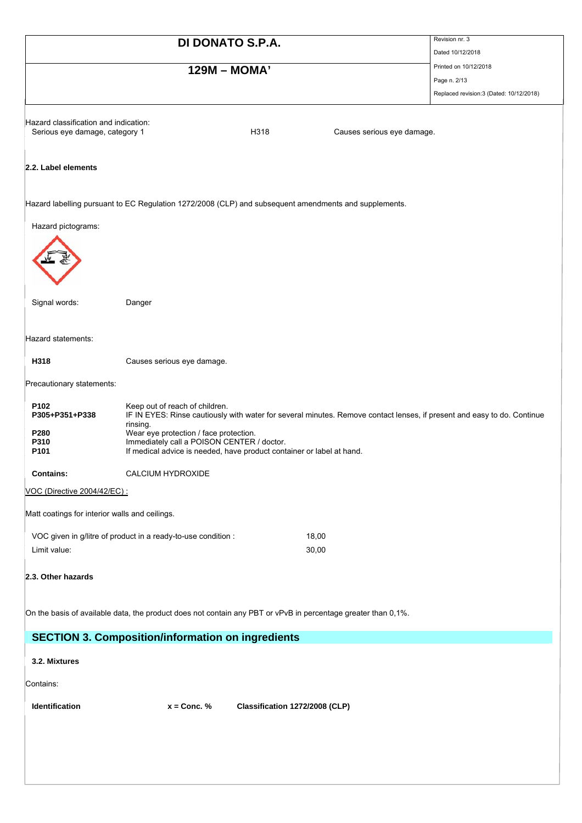|                                                                         | DI DONATO S.P.A.                                                      |                                                                                                                         | Revision nr. 3                          |
|-------------------------------------------------------------------------|-----------------------------------------------------------------------|-------------------------------------------------------------------------------------------------------------------------|-----------------------------------------|
|                                                                         |                                                                       |                                                                                                                         | Dated 10/12/2018                        |
|                                                                         | 129M - MOMA'                                                          |                                                                                                                         | Printed on 10/12/2018                   |
|                                                                         |                                                                       |                                                                                                                         | Page n. 2/13                            |
|                                                                         |                                                                       |                                                                                                                         | Replaced revision:3 (Dated: 10/12/2018) |
|                                                                         |                                                                       |                                                                                                                         |                                         |
| Hazard classification and indication:<br>Serious eye damage, category 1 |                                                                       | H318<br>Causes serious eye damage.                                                                                      |                                         |
|                                                                         |                                                                       |                                                                                                                         |                                         |
|                                                                         |                                                                       |                                                                                                                         |                                         |
| 2.2. Label elements                                                     |                                                                       |                                                                                                                         |                                         |
|                                                                         |                                                                       |                                                                                                                         |                                         |
|                                                                         |                                                                       | Hazard labelling pursuant to EC Regulation 1272/2008 (CLP) and subsequent amendments and supplements.                   |                                         |
|                                                                         |                                                                       |                                                                                                                         |                                         |
| Hazard pictograms:                                                      |                                                                       |                                                                                                                         |                                         |
|                                                                         |                                                                       |                                                                                                                         |                                         |
|                                                                         |                                                                       |                                                                                                                         |                                         |
|                                                                         |                                                                       |                                                                                                                         |                                         |
|                                                                         |                                                                       |                                                                                                                         |                                         |
| Signal words:                                                           | Danger                                                                |                                                                                                                         |                                         |
|                                                                         |                                                                       |                                                                                                                         |                                         |
| Hazard statements:                                                      |                                                                       |                                                                                                                         |                                         |
| H318                                                                    |                                                                       |                                                                                                                         |                                         |
|                                                                         | Causes serious eye damage.                                            |                                                                                                                         |                                         |
| Precautionary statements:                                               |                                                                       |                                                                                                                         |                                         |
| P102                                                                    |                                                                       |                                                                                                                         |                                         |
| P305+P351+P338                                                          | Keep out of reach of children.                                        | IF IN EYES: Rinse cautiously with water for several minutes. Remove contact lenses, if present and easy to do. Continue |                                         |
| P280                                                                    | rinsing.<br>Wear eye protection / face protection.                    |                                                                                                                         |                                         |
| P310                                                                    | Immediately call a POISON CENTER / doctor.                            |                                                                                                                         |                                         |
| P101                                                                    | If medical advice is needed, have product container or label at hand. |                                                                                                                         |                                         |
| <b>Contains:</b>                                                        | CALCIUM HYDROXIDE                                                     |                                                                                                                         |                                         |
| VOC (Directive 2004/42/EC) :                                            |                                                                       |                                                                                                                         |                                         |
|                                                                         |                                                                       |                                                                                                                         |                                         |
| Matt coatings for interior walls and ceilings.                          |                                                                       |                                                                                                                         |                                         |
|                                                                         | VOC given in g/litre of product in a ready-to-use condition :         | 18,00                                                                                                                   |                                         |
| Limit value:                                                            |                                                                       | 30,00                                                                                                                   |                                         |
|                                                                         |                                                                       |                                                                                                                         |                                         |
| 2.3. Other hazards                                                      |                                                                       |                                                                                                                         |                                         |
|                                                                         |                                                                       |                                                                                                                         |                                         |
|                                                                         |                                                                       | On the basis of available data, the product does not contain any PBT or vPvB in percentage greater than 0,1%.           |                                         |
|                                                                         |                                                                       |                                                                                                                         |                                         |
|                                                                         | <b>SECTION 3. Composition/information on ingredients</b>              |                                                                                                                         |                                         |
| 3.2. Mixtures                                                           |                                                                       |                                                                                                                         |                                         |
|                                                                         |                                                                       |                                                                                                                         |                                         |
| Contains:                                                               |                                                                       |                                                                                                                         |                                         |
| Identification                                                          | $x =$ Conc. %                                                         | Classification 1272/2008 (CLP)                                                                                          |                                         |
|                                                                         |                                                                       |                                                                                                                         |                                         |
|                                                                         |                                                                       |                                                                                                                         |                                         |
|                                                                         |                                                                       |                                                                                                                         |                                         |
|                                                                         |                                                                       |                                                                                                                         |                                         |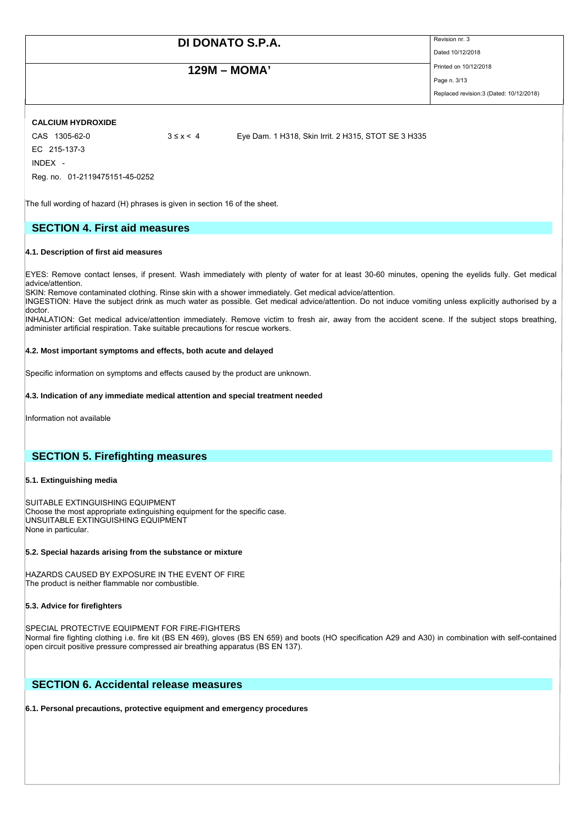## **129M – MOMA'** Printed on 10/12/2018

Dated 10/12/2018

Page n. 3/13 Replaced revision:3 (Dated: 10/12/2018)

### **CALCIUM HYDROXIDE**

EC 215-137-3 INDEX -

CAS 1305-62-0 3 ≤ x < 4 Eye Dam. 1 H318, Skin Irrit. 2 H315, STOT SE 3 H335

The full wording of hazard (H) phrases is given in section 16 of the sheet.

## **SECTION 4. First aid measures**

### **4.1. Description of first aid measures**

Reg. no. 01-2119475151-45-0252

EYES: Remove contact lenses, if present. Wash immediately with plenty of water for at least 30-60 minutes, opening the eyelids fully. Get medical advice/attention.

SKIN: Remove contaminated clothing. Rinse skin with a shower immediately. Get medical advice/attention.

INGESTION: Have the subject drink as much water as possible. Get medical advice/attention. Do not induce vomiting unless explicitly authorised by a doctor.

INHALATION: Get medical advice/attention immediately. Remove victim to fresh air, away from the accident scene. If the subject stops breathing, administer artificial respiration. Take suitable precautions for rescue workers.

### **4.2. Most important symptoms and effects, both acute and delayed**

Specific information on symptoms and effects caused by the product are unknown.

#### **4.3. Indication of any immediate medical attention and special treatment needed**

Information not available

## **SECTION 5. Firefighting measures**

#### **5.1. Extinguishing media**

SUITABLE EXTINGUISHING EQUIPMENT Choose the most appropriate extinguishing equipment for the specific case. UNSUITABLE EXTINGUISHING EQUIPMENT None in particular.

#### **5.2. Special hazards arising from the substance or mixture**

HAZARDS CAUSED BY EXPOSURE IN THE EVENT OF FIRE The product is neither flammable nor combustible.

### **5.3. Advice for firefighters**

SPECIAL PROTECTIVE EQUIPMENT FOR FIRE-FIGHTERS Normal fire fighting clothing i.e. fire kit (BS EN 469), gloves (BS EN 659) and boots (HO specification A29 and A30) in combination with self-contained open circuit positive pressure compressed air breathing apparatus (BS EN 137).

## **SECTION 6. Accidental release measures**

#### **6.1. Personal precautions, protective equipment and emergency procedures**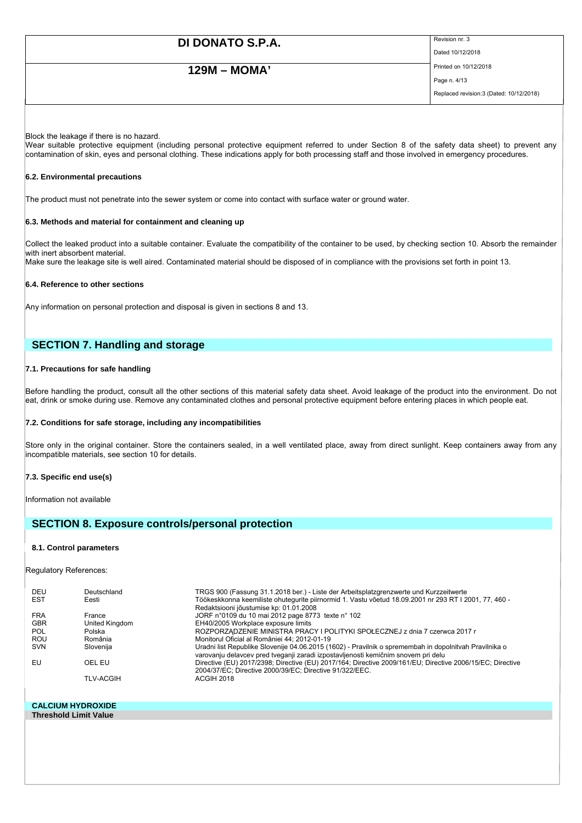# **129M – MOMA'** Printed on 10/12/2018

Dated 10/12/2018

Page n. 4/13 Replaced revision:3 (Dated: 10/12/2018)

#### Block the leakage if there is no hazard.

Wear suitable protective equipment (including personal protective equipment referred to under Section 8 of the safety data sheet) to prevent any contamination of skin, eyes and personal clothing. These indications apply for both processing staff and those involved in emergency procedures.

#### **6.2. Environmental precautions**

The product must not penetrate into the sewer system or come into contact with surface water or ground water.

#### **6.3. Methods and material for containment and cleaning up**

Collect the leaked product into a suitable container. Evaluate the compatibility of the container to be used, by checking section 10. Absorb the remainder with inert absorbent material. Make sure the leakage site is well aired. Contaminated material should be disposed of in compliance with the provisions set forth in point 13.

#### **6.4. Reference to other sections**

Any information on personal protection and disposal is given in sections 8 and 13.

## **SECTION 7. Handling and storage**

### **7.1. Precautions for safe handling**

Before handling the product, consult all the other sections of this material safety data sheet. Avoid leakage of the product into the environment. Do not eat, drink or smoke during use. Remove any contaminated clothes and personal protective equipment before entering places in which people eat.

#### **7.2. Conditions for safe storage, including any incompatibilities**

Store only in the original container. Store the containers sealed, in a well ventilated place, away from direct sunlight. Keep containers away from any incompatible materials, see section 10 for details.

#### **7.3. Specific end use(s)**

Information not available

### **SECTION 8. Exposure controls/personal protection**

#### **8.1. Control parameters**

Regulatory References:

| DEU        | Deutschland      | TRGS 900 (Fassung 31.1.2018 ber.) - Liste der Arbeitsplatzgrenzwerte und Kurzzeitwerte                                                                                                      |
|------------|------------------|---------------------------------------------------------------------------------------------------------------------------------------------------------------------------------------------|
| <b>EST</b> | Eesti            | Töökeskkonna keemiliste ohutequrite piirnormid 1. Vastu võetud 18.09.2001 nr 293 RT I 2001, 77, 460 -<br>Redaktsiooni jõustumise kp: 01.01.2008                                             |
| <b>FRA</b> | France           | JORF n°0109 du 10 mai 2012 page 8773 texte n° 102                                                                                                                                           |
| <b>GBR</b> | United Kingdom   | EH40/2005 Workplace exposure limits                                                                                                                                                         |
| POL        | Polska           | ROZPORZĄDZENIE MINISTRA PRACY I POLITYKI SPOŁECZNEJ z dnia 7 czerwca 2017 r                                                                                                                 |
| ROU        | România          | Monitorul Oficial al României 44; 2012-01-19                                                                                                                                                |
| <b>SVN</b> | Slovenija        | Uradni list Republike Slovenije 04.06.2015 (1602) - Pravilnik o spremembah in dopolnitvah Pravilnika o<br>varovanju delavcev pred tveganji zaradi izpostavljenosti kemičnim snovem pri delu |
| EU         | OEL EU           | Directive (EU) 2017/2398; Directive (EU) 2017/164; Directive 2009/161/EU; Directive 2006/15/EC; Directive<br>2004/37/EC; Directive 2000/39/EC; Directive 91/322/EEC.                        |
|            | <b>TLV-ACGIH</b> | ACGIH 2018                                                                                                                                                                                  |

#### **CALCIUM HYDROXIDE Threshold Limit Value**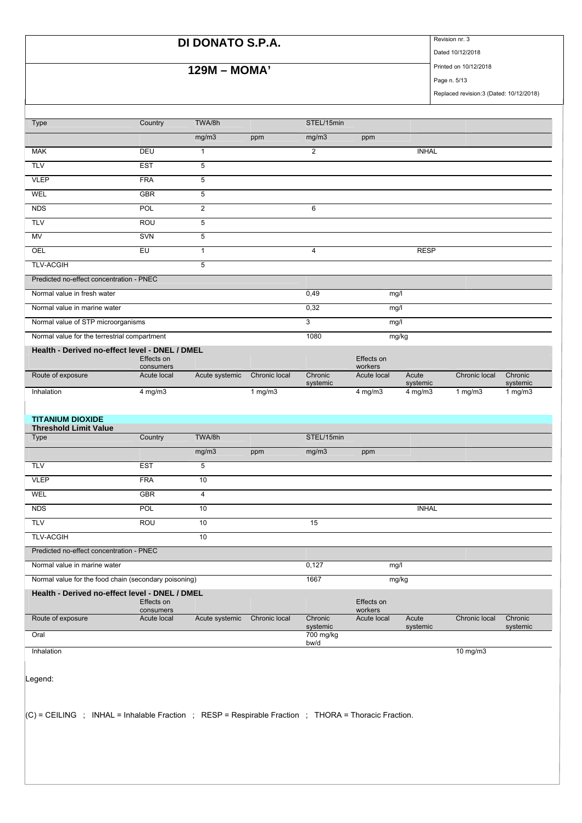# **DI DONATO S.P.A.** Revision nr. 3

# **129M – MOMA'** Printed on 10/12/2018

Dated 10/12/2018

Page n. 5/13 Replaced revision:3 (Dated: 10/12/2018)

| <b>Type</b>                                                                                                                                                                                                                                                                                     | Country                  | TWA/8h           |               | STEL/15min          |                        |                   |               |                     |
|-------------------------------------------------------------------------------------------------------------------------------------------------------------------------------------------------------------------------------------------------------------------------------------------------|--------------------------|------------------|---------------|---------------------|------------------------|-------------------|---------------|---------------------|
|                                                                                                                                                                                                                                                                                                 |                          | mg/m3            | ppm           | mg/m3               | ppm                    |                   |               |                     |
| <b>MAK</b>                                                                                                                                                                                                                                                                                      | DEU                      | $\mathbf{1}$     |               | $\overline{2}$      |                        | <b>INHAL</b>      |               |                     |
| <b>TLV</b>                                                                                                                                                                                                                                                                                      | <b>EST</b>               | $\sqrt{5}$       |               |                     |                        |                   |               |                     |
| <b>VLEP</b>                                                                                                                                                                                                                                                                                     | <b>FRA</b>               | 5                |               |                     |                        |                   |               |                     |
| WEL                                                                                                                                                                                                                                                                                             | <b>GBR</b>               | 5                |               |                     |                        |                   |               |                     |
| <b>NDS</b>                                                                                                                                                                                                                                                                                      | <b>POL</b>               | $\boldsymbol{2}$ |               | $\,6$               |                        |                   |               |                     |
| <b>TLV</b>                                                                                                                                                                                                                                                                                      | ROU                      | 5                |               |                     |                        |                   |               |                     |
| MV                                                                                                                                                                                                                                                                                              | SVN                      | 5                |               |                     |                        |                   |               |                     |
| OEL                                                                                                                                                                                                                                                                                             | EU                       | $\mathbf{1}$     |               | 4                   |                        | <b>RESP</b>       |               |                     |
| <b>TLV-ACGIH</b>                                                                                                                                                                                                                                                                                |                          | 5                |               |                     |                        |                   |               |                     |
| Predicted no-effect concentration - PNEC                                                                                                                                                                                                                                                        |                          |                  |               |                     |                        |                   |               |                     |
| Normal value in fresh water                                                                                                                                                                                                                                                                     |                          |                  |               | 0,49                | mg/l                   |                   |               |                     |
| Normal value in marine water                                                                                                                                                                                                                                                                    |                          |                  |               | 0,32                | mg/l                   |                   |               |                     |
| Normal value of STP microorganisms                                                                                                                                                                                                                                                              |                          |                  |               | 3                   | mg/l                   |                   |               |                     |
| Normal value for the terrestrial compartment                                                                                                                                                                                                                                                    |                          |                  |               | 1080                |                        | mg/kg             |               |                     |
| Health - Derived no-effect level - DNEL / DMEL                                                                                                                                                                                                                                                  |                          |                  |               |                     |                        |                   |               |                     |
|                                                                                                                                                                                                                                                                                                 | Effects on<br>consumers  |                  |               |                     | Effects on<br>workers  |                   |               |                     |
| Route of exposure                                                                                                                                                                                                                                                                               | Acute local              | Acute systemic   | Chronic local | Chronic<br>systemic | Acute local            | Acute<br>systemic | Chronic local | Chronic<br>systemic |
| Inhalation                                                                                                                                                                                                                                                                                      | $4$ mg/m $3$             |                  | 1 $mg/m3$     |                     | $4$ mg/m $3$           | 4 mg/m3           | 1 $mg/m3$     | 1 $mg/m3$           |
|                                                                                                                                                                                                                                                                                                 |                          |                  |               |                     |                        |                   |               |                     |
|                                                                                                                                                                                                                                                                                                 |                          |                  |               |                     |                        |                   |               |                     |
|                                                                                                                                                                                                                                                                                                 |                          |                  |               |                     |                        |                   |               |                     |
|                                                                                                                                                                                                                                                                                                 | Country                  | TWA/8h           |               | STEL/15min          |                        |                   |               |                     |
|                                                                                                                                                                                                                                                                                                 |                          | mg/m3            | ppm           | mg/m3               | ppm                    |                   |               |                     |
|                                                                                                                                                                                                                                                                                                 | <b>EST</b>               | 5                |               |                     |                        |                   |               |                     |
|                                                                                                                                                                                                                                                                                                 | <b>FRA</b>               | 10               |               |                     |                        |                   |               |                     |
|                                                                                                                                                                                                                                                                                                 | <b>GBR</b>               | 4                |               |                     |                        |                   |               |                     |
|                                                                                                                                                                                                                                                                                                 | POL                      | 10               |               |                     |                        | <b>INHAL</b>      |               |                     |
|                                                                                                                                                                                                                                                                                                 | ROU                      | 10               |               | 15                  |                        |                   |               |                     |
|                                                                                                                                                                                                                                                                                                 |                          | 10               |               |                     |                        |                   |               |                     |
|                                                                                                                                                                                                                                                                                                 |                          |                  |               |                     |                        |                   |               |                     |
|                                                                                                                                                                                                                                                                                                 |                          |                  |               |                     |                        |                   |               |                     |
|                                                                                                                                                                                                                                                                                                 |                          |                  |               | 0,127               | mg/l                   |                   |               |                     |
|                                                                                                                                                                                                                                                                                                 |                          |                  |               | 1667                |                        | mg/kg             |               |                     |
|                                                                                                                                                                                                                                                                                                 | Effects on               |                  |               |                     | Effects on             |                   |               |                     |
| <b>Threshold Limit Value</b><br><b>VLEP</b><br>WEL<br>Normal value in marine water                                                                                                                                                                                                              | consumers<br>Acute local | Acute systemic   | Chronic local | Chronic             | workers<br>Acute local | Acute             | Chronic local | Chronic             |
|                                                                                                                                                                                                                                                                                                 |                          |                  |               | systemic            |                        | systemic          |               |                     |
| <b>TITANIUM DIOXIDE</b><br>Type<br><b>TLV</b><br><b>NDS</b><br><b>TLV</b><br><b>TLV-ACGIH</b><br>Predicted no-effect concentration - PNEC<br>Normal value for the food chain (secondary poisoning)<br>Health - Derived no-effect level - DNEL / DMEL<br>Route of exposure<br>Oral<br>Inhalation |                          |                  |               | 700 mg/kg<br>bw/d   |                        |                   | 10 mg/m3      | systemic            |

 $|$ (C) = CEILING ; INHAL = Inhalable Fraction ; RESP = Respirable Fraction ; THORA = Thoracic Fraction.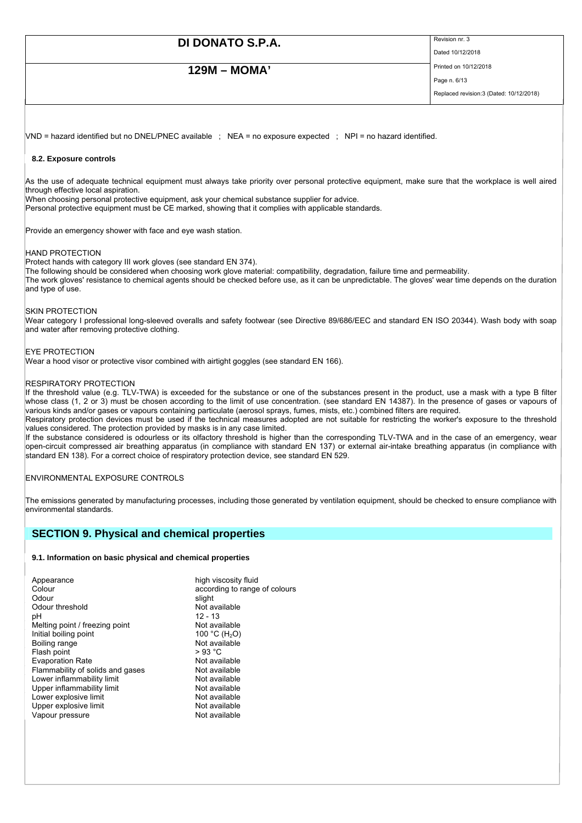## **129M – MOMA'** Printed on 10/12/2018

Dated 10/12/2018

Page n. 6/13 Replaced revision:3 (Dated: 10/12/2018)

VND = hazard identified but no DNEL/PNEC available ; NEA = no exposure expected ; NPI = no hazard identified.

### **8.2. Exposure controls**

As the use of adequate technical equipment must always take priority over personal protective equipment, make sure that the workplace is well aired through effective local aspiration.

When choosing personal protective equipment, ask your chemical substance supplier for advice. Personal protective equipment must be CE marked, showing that it complies with applicable standards.

Provide an emergency shower with face and eye wash station.

#### HAND PROTECTION

Protect hands with category III work gloves (see standard EN 374).

The following should be considered when choosing work glove material: compatibility, degradation, failure time and permeability. The work gloves' resistance to chemical agents should be checked before use, as it can be unpredictable. The gloves' wear time depends on the duration and type of use.

#### SKIN PROTECTION

Wear category I professional long-sleeved overalls and safety footwear (see Directive 89/686/EEC and standard EN ISO 20344). Wash body with soap and water after removing protective clothing.

EYE PROTECTION Wear a hood visor or protective visor combined with airtight goggles (see standard EN 166).

#### RESPIRATORY PROTECTION

If the threshold value (e.g. TLV-TWA) is exceeded for the substance or one of the substances present in the product, use a mask with a type B filter whose class (1, 2 or 3) must be chosen according to the limit of use concentration. (see standard EN 14387). In the presence of gases or vapours of various kinds and/or gases or vapours containing particulate (aerosol sprays, fumes, mists, etc.) combined filters are required.

Respiratory protection devices must be used if the technical measures adopted are not suitable for restricting the worker's exposure to the threshold values considered. The protection provided by masks is in any case limited.

If the substance considered is odourless or its olfactory threshold is higher than the corresponding TLV-TWA and in the case of an emergency, wear open-circuit compressed air breathing apparatus (in compliance with standard EN 137) or external air-intake breathing apparatus (in compliance with standard EN 138). For a correct choice of respiratory protection device, see standard EN 529.

#### ENVIRONMENTAL EXPOSURE CONTROLS

The emissions generated by manufacturing processes, including those generated by ventilation equipment, should be checked to ensure compliance with environmental standards.

### **SECTION 9. Physical and chemical properties**

#### **9.1. Information on basic physical and chemical properties**

| Appearance                       | high viscosity fluid          |
|----------------------------------|-------------------------------|
| Colour                           | according to range of colours |
| Odour                            | slight                        |
| Odour threshold                  | Not available                 |
| рH                               | $12 - 13$                     |
| Melting point / freezing point   | Not available                 |
| Initial boiling point            | 100 °C (H <sub>2</sub> O)     |
| Boiling range                    | Not available                 |
| Flash point                      | > 93 °C                       |
| <b>Evaporation Rate</b>          | Not available                 |
| Flammability of solids and gases | Not available                 |
| Lower inflammability limit       | Not available                 |
| Upper inflammability limit       | Not available                 |
| Lower explosive limit            | Not available                 |
| Upper explosive limit            | Not available                 |
| Vapour pressure                  | Not available                 |
|                                  |                               |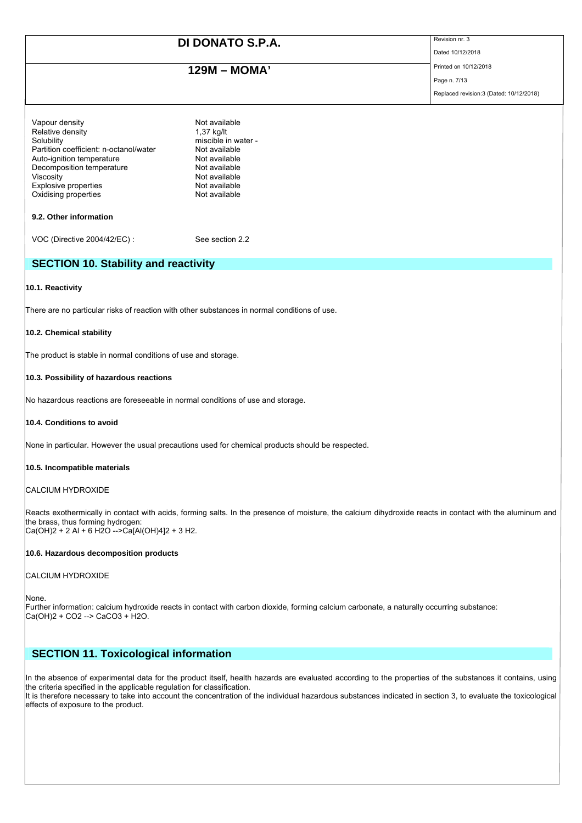# **129M – MOMA'** Printed on 10/12/2018

Dated 10/12/2018

Page n. 7/13 Replaced revision:3 (Dated: 10/12/2018)

| Vapour density                         | Not available       |
|----------------------------------------|---------------------|
| Relative density                       | 1,37 kg/lt          |
| Solubility                             | miscible in water - |
| Partition coefficient: n-octanol/water | Not available       |
| Auto-ignition temperature              | Not available       |
| Decomposition temperature              | Not available       |
| Viscositv                              | Not available       |
| Explosive properties                   | Not available       |
| Oxidising properties                   | Not available       |
|                                        |                     |
| 9.2. Other information                 |                     |
|                                        |                     |
| VOC (Directive 2004/42/EC) :           | See section 2.2     |

## **SECTION 10. Stability and reactivity**

#### **10.1. Reactivity**

There are no particular risks of reaction with other substances in normal conditions of use.

#### **10.2. Chemical stability**

The product is stable in normal conditions of use and storage.

#### **10.3. Possibility of hazardous reactions**

No hazardous reactions are foreseeable in normal conditions of use and storage.

### **10.4. Conditions to avoid**

None in particular. However the usual precautions used for chemical products should be respected.

#### **10.5. Incompatible materials**

#### CALCIUM HYDROXIDE

Reacts exothermically in contact with acids, forming salts. In the presence of moisture, the calcium dihydroxide reacts in contact with the aluminum and the brass, thus forming hydrogen:  $|Ca(OH)2 + 2 Al + 6 H2O - \frac{2}{3}Ca[Al(OH)4]2 + 3 H2.$ 

### **10.6. Hazardous decomposition products**

#### CALCIUM HYDROXIDE

None.

Further information: calcium hydroxide reacts in contact with carbon dioxide, forming calcium carbonate, a naturally occurring substance: Ca(OH)2 + CO2 --> CaCO3 + H2O.

## **SECTION 11. Toxicological information**

In the absence of experimental data for the product itself, health hazards are evaluated according to the properties of the substances it contains, using the criteria specified in the applicable regulation for classification.

It is therefore necessary to take into account the concentration of the individual hazardous substances indicated in section 3, to evaluate the toxicological effects of exposure to the product.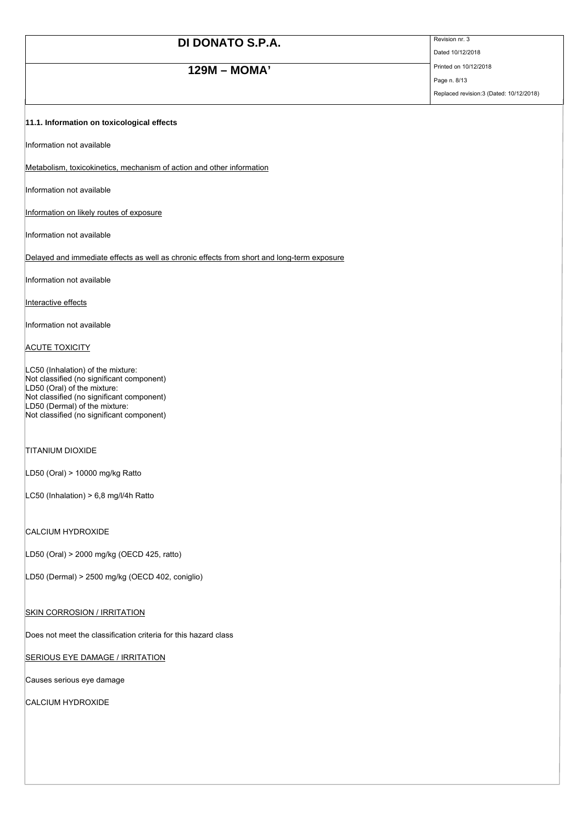# **129M – MOMA'** Printed on 10/12/2018

Dated 10/12/2018

Page n. 8/13 Replaced revision:3 (Dated: 10/12/2018)

### **11.1. Information on toxicological effects**

Information not available

Metabolism, toxicokinetics, mechanism of action and other information

Information not available

Information on likely routes of exposure

Information not available

Delayed and immediate effects as well as chronic effects from short and long-term exposure

Information not available

Interactive effects

Information not available

**ACUTE TOXICITY** 

LC50 (Inhalation) of the mixture: Not classified (no significant component) LD50 (Oral) of the mixture: Not classified (no significant component) LD50 (Dermal) of the mixture: Not classified (no significant component)

### TITANIUM DIOXIDE

LD50 (Oral) > 10000 mg/kg Ratto

LC50 (Inhalation) > 6,8 mg/l/4h Ratto

### CALCIUM HYDROXIDE

LD50 (Oral) > 2000 mg/kg (OECD 425, ratto)

LD50 (Dermal) > 2500 mg/kg (OECD 402, coniglio)

**SKIN CORROSION / IRRITATION** 

Does not meet the classification criteria for this hazard class

**SERIOUS EYE DAMAGE / IRRITATION** 

Causes serious eye damage

CALCIUM HYDROXIDE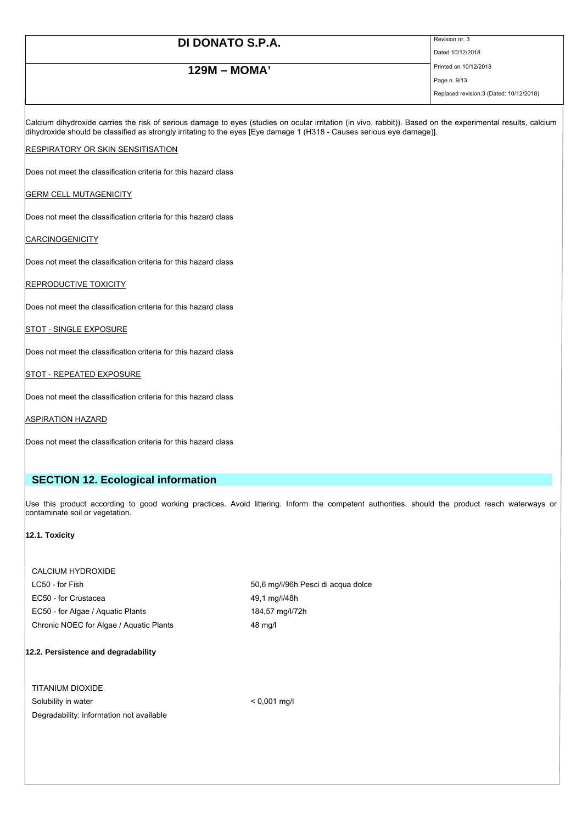# **129M – MOMA'** Printed on 10/12/2018

Dated 10/12/2018

Page n. 9/13 Replaced revision:3 (Dated: 10/12/2018)

Calcium dihydroxide carries the risk of serious damage to eyes (studies on ocular irritation (in vivo, rabbit)). Based on the experimental results, calcium dihydroxide should be classified as strongly irritating to the eyes [Eye damage 1 (H318 - Causes serious eye damage)].

#### **RESPIRATORY OR SKIN SENSITISATION**

Does not meet the classification criteria for this hazard class

### GERM CELL MUTAGENICITY

Does not meet the classification criteria for this hazard class

### **CARCINOGENICITY**

Does not meet the classification criteria for this hazard class

#### **REPRODUCTIVE TOXICITY**

Does not meet the classification criteria for this hazard class

STOT - SINGLE EXPOSURE

Does not meet the classification criteria for this hazard class

#### STOT - REPEATED EXPOSURE

Does not meet the classification criteria for this hazard class

**ASPIRATION HAZARD** 

Does not meet the classification criteria for this hazard class

## **SECTION 12. Ecological information**

Use this product according to good working practices. Avoid littering. Inform the competent authorities, should the product reach waterways or contaminate soil or vegetation.

#### **12.1. Toxicity**

| CALCIUM HYDROXIDE                       |               |
|-----------------------------------------|---------------|
| LC50 - for Fish                         | 50,6 mg/l/96h |
| EC50 - for Crustacea                    | 49.1 mg/l/48h |
| EC50 - for Algae / Aquatic Plants       | 184,57 mg/l/7 |
| Chronic NOEC for Algae / Aguatic Plants | 48 mg/l       |

ng/l/96h Pesci di acqua dolce  $7$  mg/l/72h

#### **12.2. Persistence and degradability**

TITANIUM DIOXIDE Solubility in water  $\leq 0.001$  mg/l Degradability: information not available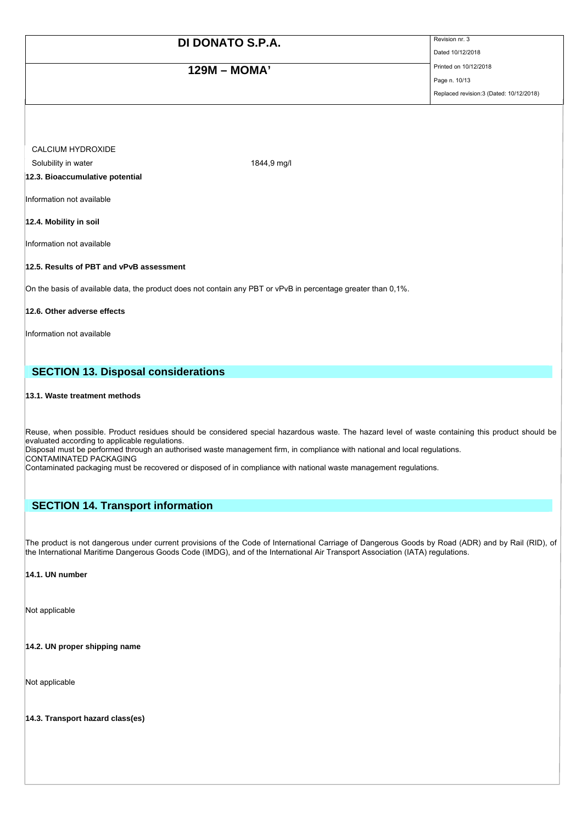# **129M – MOMA'** Printed on 10/12/2018

Dated 10/12/2018

Page n. 10/13 Replaced revision:3 (Dated: 10/12/2018)

CALCIUM HYDROXIDE

Solubility in water 1844,9 mg/l

**12.3. Bioaccumulative potential** 

Information not available

**12.4. Mobility in soil** 

Information not available

### **12.5. Results of PBT and vPvB assessment**

On the basis of available data, the product does not contain any PBT or vPvB in percentage greater than 0,1%.

**12.6. Other adverse effects** 

Information not available

## **SECTION 13. Disposal considerations**

#### **13.1. Waste treatment methods**

Reuse, when possible. Product residues should be considered special hazardous waste. The hazard level of waste containing this product should be evaluated according to applicable regulations. Disposal must be performed through an authorised waste management firm, in compliance with national and local regulations.

CONTAMINATED PACKAGING

Contaminated packaging must be recovered or disposed of in compliance with national waste management regulations.

## **SECTION 14. Transport information**

The product is not dangerous under current provisions of the Code of International Carriage of Dangerous Goods by Road (ADR) and by Rail (RID), of the International Maritime Dangerous Goods Code (IMDG), and of the International Air Transport Association (IATA) regulations.

### **14.1. UN number**

Not applicable

**14.2. UN proper shipping name** 

Not applicable

**14.3. Transport hazard class(es)**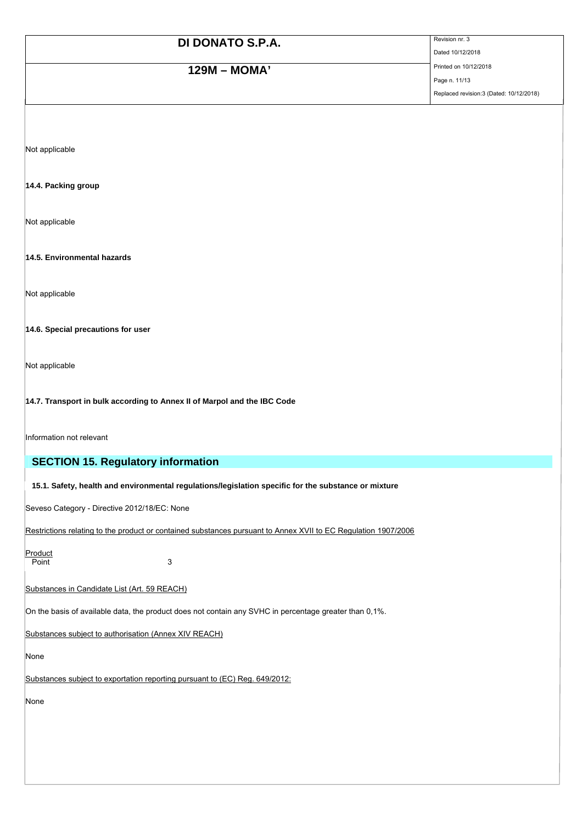# **129M – MOMA'** Printed on 10/12/2018

Dated 10/12/2018

Page n. 11/13 Replaced revision:3 (Dated: 10/12/2018)

Not applicable

### **14.4. Packing group**

Not applicable

### **14.5. Environmental hazards**

Not applicable

### **14.6. Special precautions for user**

Not applicable

### **14.7. Transport in bulk according to Annex II of Marpol and the IBC Code**

Information not relevant

## **SECTION 15. Regulatory information**

### **15.1. Safety, health and environmental regulations/legislation specific for the substance or mixture**

Seveso Category - Directive 2012/18/EC: None

Restrictions relating to the product or contained substances pursuant to Annex XVII to EC Regulation 1907/2006

**Product** 

Point 3

### Substances in Candidate List (Art. 59 REACH)

On the basis of available data, the product does not contain any SVHC in percentage greater than 0,1%.

Substances subject to authorisation (Annex XIV REACH)

None

Substances subject to exportation reporting pursuant to (EC) Reg. 649/2012:

None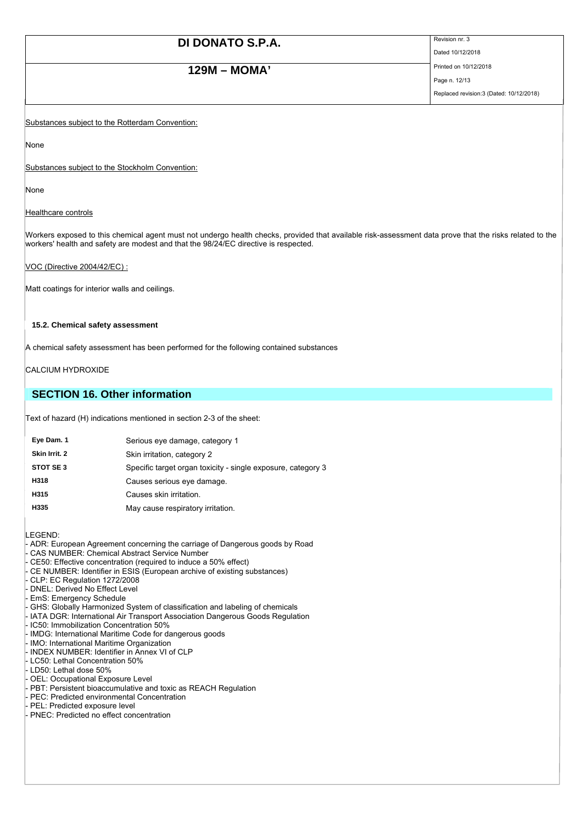# **129M – MOMA'** Printed on 10/12/2018

Dated 10/12/2018

Page n. 12/13 Replaced revision:3 (Dated: 10/12/2018)

Substances subject to the Rotterdam Convention:

None

Substances subject to the Stockholm Convention:

None

Healthcare controls

Workers exposed to this chemical agent must not undergo health checks, provided that available risk-assessment data prove that the risks related to the workers' health and safety are modest and that the 98/24/EC directive is respected.

VOC (Directive 2004/42/EC) :

Matt coatings for interior walls and ceilings.

#### **15.2. Chemical safety assessment**

A chemical safety assessment has been performed for the following contained substances

CALCIUM HYDROXIDE

## **SECTION 16. Other information**

Text of hazard (H) indications mentioned in section 2-3 of the sheet:

| Eye Dam. 1    | Serious eye damage, category 1                               |
|---------------|--------------------------------------------------------------|
| Skin Irrit. 2 | Skin irritation, category 2                                  |
| STOT SE3      | Specific target organ toxicity - single exposure, category 3 |
| H318          | Causes serious eye damage.                                   |
| H315          | Causes skin irritation.                                      |
| H335          | May cause respiratory irritation.                            |
|               |                                                              |

LEGEND:

- ADR: European Agreement concerning the carriage of Dangerous goods by Road
- CAS NUMBER: Chemical Abstract Service Number
- CE50: Effective concentration (required to induce a 50% effect)
- CE NUMBER: Identifier in ESIS (European archive of existing substances)
- CLP: EC Regulation 1272/2008
- DNEL: Derived No Effect Level
- EmS: Emergency Schedule
- GHS: Globally Harmonized System of classification and labeling of chemicals
- IATA DGR: International Air Transport Association Dangerous Goods Regulation
- IC50: Immobilization Concentration 50%
- IMDG: International Maritime Code for dangerous goods
- IMO: International Maritime Organization
- INDEX NUMBER: Identifier in Annex VI of CLP
- LC50: Lethal Concentration 50%
- LD50: Lethal dose 50%
- OEL: Occupational Exposure Level
- PBT: Persistent bioaccumulative and toxic as REACH Regulation
- PEC: Predicted environmental Concentration
- PEL: Predicted exposure level
- PNEC: Predicted no effect concentration